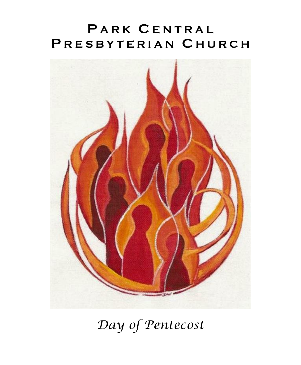# **P A R K C E N T R A L P R E S B Y T E R I A N C H U R C H**



*Day of Pentecost*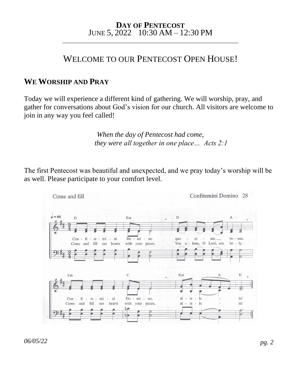#### **DAY OF PENTECOST** JUNE 5, 2022 10:30 AM – 12:30 PM \_\_\_\_\_\_\_\_\_\_\_\_\_\_\_\_\_\_\_\_\_\_\_\_\_\_\_\_\_\_\_\_\_\_\_\_\_\_\_\_\_\_\_\_\_\_\_\_\_\_\_\_\_\_\_\_\_\_\_

# WELCOME TO OUR PENTECOST OPEN HOUSE!

### **WE WORSHIP AND PRAY**

Today we will experience a different kind of gathering. We will worship, pray, and gather for conversations about God's vision for our church. All visitors are welcome to join in any way you feel called!

> *When the day of Pentecost had come, they were all together in one place… Acts 2:1*

The first Pentecost was beautiful and unexpected, and we pray today's worship will be as well. Please participate to your comfort level.

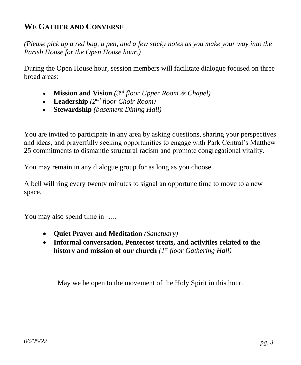## **WE GATHER AND CONVERSE**

*(Please pick up a red bag, a pen, and a few sticky notes as you make your way into the Parish House for the Open House hour.)*

During the Open House hour, session members will facilitate dialogue focused on three broad areas:

- **Mission and Vision** *(3rd floor Upper Room & Chapel)*
- **Leadership** *(2nd floor Choir Room)*
- **Stewardship** *(basement Dining Hall)*

You are invited to participate in any area by asking questions, sharing your perspectives and ideas, and prayerfully seeking opportunities to engage with Park Central's Matthew 25 commitments to dismantle structural racism and promote congregational vitality.

You may remain in any dialogue group for as long as you choose.

A bell will ring every twenty minutes to signal an opportune time to move to a new space.

You may also spend time in .....

- **Quiet Prayer and Meditation** *(Sanctuary)*
- **Informal conversation, Pentecost treats, and activities related to the history and mission of our church** *(1st floor Gathering Hall)*

May we be open to the movement of the Holy Spirit in this hour.